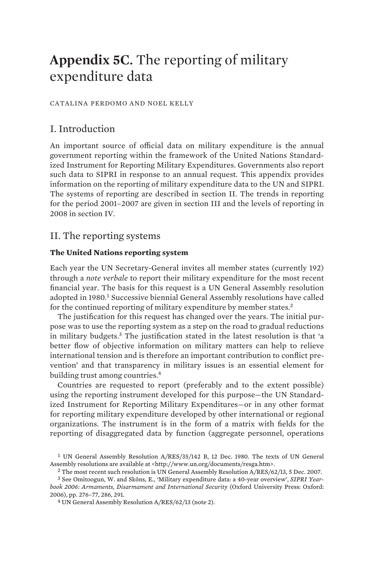# **Appendix 5C.** The reporting of military expenditure data

#### CATALINA PERDOMO AND NOEL KELLY

# I. Introduction

An important source of official data on military expenditure is the annual government reporting within the framework of the United Nations Standardized Instrument for Reporting Military Expenditures. Governments also report such data to SIPRI in response to an annual request. This appendix provides information on the reporting of military expenditure data to the UN and SIPRI. The systems of reporting are described in section II. The trends in reporting for the period 2001–2007 are given in section III and the levels of reporting in 2008 in section IV.

## II. The reporting systems

## **The United Nations reporting system**

Each year the UN Secretary-General invites all member states (currently 192) through a *note verbale* to report their military expenditure for the most recent financial year. The basis for this request is a UN General Assembly resolution adopted in 1980.<sup>1</sup> Successive biennial General Assembly resolutions have called for the continued reporting of military expenditure by member states.<sup>2</sup>

The justification for this request has changed over the years. The initial purpose was to use the reporting system as a step on the road to gradual reductions in military budgets.<sup>3</sup> The justification stated in the latest resolution is that 'a better flow of objective information on military matters can help to relieve international tension and is therefore an important contribution to conflict prevention' and that transparency in military issues is an essential element for building trust among countries.<sup>4</sup>

Countries are requested to report (preferably and to the extent possible) using the reporting instrument developed for this purpose—the UN Standardized Instrument for Reporting Military Expenditures—or in any other format for reporting military expenditure developed by other international or regional organizations. The instrument is in the form of a matrix with fields for the reporting of disaggregated data by function (aggregate personnel, operations

<sup>1</sup> UN General Assembly Resolution A/RES/35/142 B, 12 Dec. 1980. The texts of UN General Assembly resolutions are available at <http://www.un.org/documents/resga.htm>.

<sup>2</sup> The most recent such resolution is UN General Assembly Resolution A/RES/62/13, 5 Dec. 2007.

<sup>3</sup> See Omitoogun, W. and Sköns, E., 'Military expenditure data: a 40-year overview', *SIPRI Yearbook 2006: Armaments, Disarmament and International Security* (Oxford University Press: Oxford: 2006), pp. 276–77, 286, 291.

<sup>4</sup> UN General Assembly Resolution A/RES/62/13 (note 2).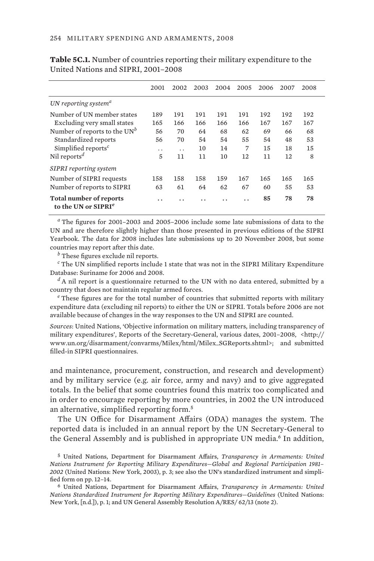|                                                            | 2001 | 2002      | 2003 | 2004 | 2005 | 2006 | 2007 | 2008 |
|------------------------------------------------------------|------|-----------|------|------|------|------|------|------|
| UN reporting system <sup>a</sup>                           |      |           |      |      |      |      |      |      |
| Number of UN member states                                 | 189  | 191       | 191  | 191  | 191  | 192  | 192  | 192  |
| Excluding very small states                                | 165  | 166       | 166  | 166  | 166  | 167  | 167  | 167  |
| Number of reports to the $UN^b$                            | 56   | 70        | 64   | 68   | 62   | 69   | 66   | 68   |
| Standardized reports                                       | 56   | 70        | 54   | 54   | 55   | 54   | 48   | 53   |
| Simplified reports <sup><math>c</math></sup>               | . .  | $\cdot$ . | 10   | 14   | 7    | 15   | 18   | 15   |
| Nil reports <sup>d</sup>                                   | 5    | 11        | 11   | 10   | 12   | 11   | 12   | 8    |
| <b>SIPRI</b> reporting system                              |      |           |      |      |      |      |      |      |
| Number of SIPRI requests                                   | 158  | 158       | 158  | 159  | 167  | 165  | 165  | 165  |
| Number of reports to SIPRI                                 | 63   | 61        | 64   | 62   | 67   | 60   | 55   | 53   |
| Total number of reports<br>to the UN or SIPRI <sup>e</sup> | . .  |           |      |      |      | 85   | 78   | 78   |

**Table 5C.1.** Number of countries reporting their military expenditure to the United Nations and SIPRI, 2001–2008

*a* The figures for 2001–2003 and 2005–2006 include some late submissions of data to the UN and are therefore slightly higher than those presented in previous editions of the SIPRI Yearbook. The data for 2008 includes late submissions up to 20 November 2008, but some countries may report after this date.

*b* These figures exclude nil reports.

*c* The UN simplified reports include 1 state that was not in the SIPRI Military Expenditure Database: Suriname for 2006 and 2008.

*d* A nil report is a questionnaire returned to the UN with no data entered, submitted by a country that does not maintain regular armed forces.

*e* These figures are for the total number of countries that submitted reports with military expenditure data (excluding nil reports) to either the UN or SIPRI. Totals before 2006 are not available because of changes in the way responses to the UN and SIPRI are counted.

*Sources*: United Nations, 'Objective information on military matters, including transparency of military expenditures', Reports of the Secretary-General, various dates, 2001–2008, <http:// www.un.org/disarmament/convarms/Milex/html/Milex\_SGReports.shtml>; and submitted filled-in SIPRI questionnaires.

and maintenance, procurement, construction, and research and development) and by military service (e.g. air force, army and navy) and to give aggregated totals. In the belief that some countries found this matrix too complicated and in order to encourage reporting by more countries, in 2002 the UN introduced an alternative, simplified reporting form.<sup>5</sup>

The UN Office for Disarmament Affairs (ODA) manages the system. The reported data is included in an annual report by the UN Secretary-General to the General Assembly and is published in appropriate UN media.<sup>6</sup> In addition,

5 United Nations, Department for Disarmament Affairs, *Transparency in Armaments: United Nations Instrument for Reporting Military Expenditures—Global and Regional Participation 1981– 2002* (United Nations: New York, 2003), p. 3; see also the UN's standardized instrument and simplified form on pp. 12–14.

6 United Nations, Department for Disarmament Affairs, *Transparency in Armaments: United Nations Standardized Instrument for Reporting Military Expenditures—Guidelines* (United Nations: New York, [n.d.]), p. 1; and UN General Assembly Resolution A/RES/ 62/13 (note 2).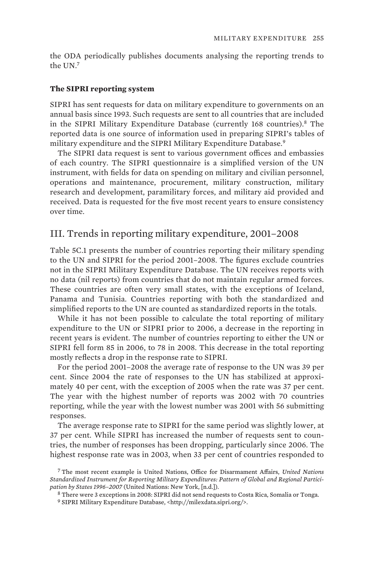the ODA periodically publishes documents analysing the reporting trends to the UN.<sup>7</sup>

### **The SIPRI reporting system**

SIPRI has sent requests for data on military expenditure to governments on an annual basis since 1993. Such requests are sent to all countries that are included in the SIPRI Military Expenditure Database (currently 168 countries).<sup>8</sup> The reported data is one source of information used in preparing SIPRI's tables of military expenditure and the SIPRI Military Expenditure Database.<sup>9</sup>

The SIPRI data request is sent to various government offices and embassies of each country. The SIPRI questionnaire is a simplified version of the UN instrument, with fields for data on spending on military and civilian personnel, operations and maintenance, procurement, military construction, military research and development, paramilitary forces, and military aid provided and received. Data is requested for the five most recent years to ensure consistency over time.

## III. Trends in reporting military expenditure, 2001–2008

Table 5C.1 presents the number of countries reporting their military spending to the UN and SIPRI for the period 2001–2008. The figures exclude countries not in the SIPRI Military Expenditure Database. The UN receives reports with no data (nil reports) from countries that do not maintain regular armed forces. These countries are often very small states, with the exceptions of Iceland, Panama and Tunisia. Countries reporting with both the standardized and simplified reports to the UN are counted as standardized reports in the totals.

While it has not been possible to calculate the total reporting of military expenditure to the UN or SIPRI prior to 2006, a decrease in the reporting in recent years is evident. The number of countries reporting to either the UN or SIPRI fell form 85 in 2006, to 78 in 2008. This decrease in the total reporting mostly reflects a drop in the response rate to SIPRI.

For the period 2001–2008 the average rate of response to the UN was 39 per cent. Since 2004 the rate of responses to the UN has stabilized at approximately 40 per cent, with the exception of 2005 when the rate was 37 per cent. The year with the highest number of reports was 2002 with 70 countries reporting, while the year with the lowest number was 2001 with 56 submitting responses.

The average response rate to SIPRI for the same period was slightly lower, at 37 per cent. While SIPRI has increased the number of requests sent to countries, the number of responses has been dropping, particularly since 2006. The highest response rate was in 2003, when 33 per cent of countries responded to

<sup>7</sup> The most recent example is United Nations, Office for Disarmament Affairs, *United Nations Standardized Instrument for Reporting Military Expenditures: Pattern of Global and Regional Participation by States 1996–2007* (United Nations: New York, [n.d.]).

<sup>8</sup> There were 3 exceptions in 2008: SIPRI did not send requests to Costa Rica, Somalia or Tonga. 9 SIPRI Military Expenditure Database, <http://milexdata.sipri.org/>.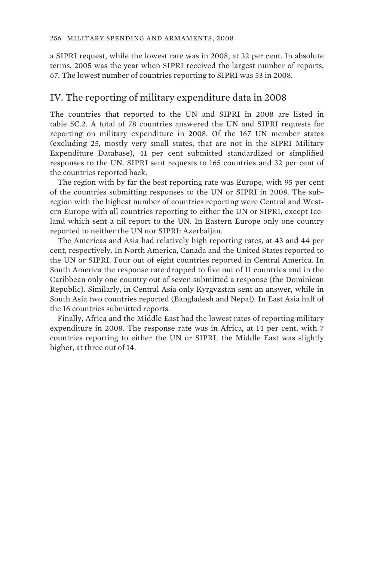a SIPRI request, while the lowest rate was in 2008, at 32 per cent. In absolute terms, 2005 was the year when SIPRI received the largest number of reports, 67. The lowest number of countries reporting to SIPRI was 53 in 2008.

## IV. The reporting of military expenditure data in 2008

The countries that reported to the UN and SIPRI in 2008 are listed in table 5C.2. A total of 78 countries answered the UN and SIPRI requests for reporting on military expenditure in 2008. Of the 167 UN member states (excluding 25, mostly very small states, that are not in the SIPRI Military Expenditure Database), 41 per cent submitted standardized or simplified responses to the UN. SIPRI sent requests to 165 countries and 32 per cent of the countries reported back.

The region with by far the best reporting rate was Europe, with 95 per cent of the countries submitting responses to the UN or SIPRI in 2008. The subregion with the highest number of countries reporting were Central and Western Europe with all countries reporting to either the UN or SIPRI, except Iceland which sent a nil report to the UN. In Eastern Europe only one country reported to neither the UN nor SIPRI: Azerbaijan.

The Americas and Asia had relatively high reporting rates, at 43 and 44 per cent, respectively. In North America, Canada and the United States reported to the UN or SIPRI. Four out of eight countries reported in Central America. In South America the response rate dropped to five out of 11 countries and in the Caribbean only one country out of seven submitted a response (the Dominican Republic). Similarly, in Central Asia only Kyrgyzstan sent an answer, while in South Asia two countries reported (Bangladesh and Nepal). In East Asia half of the 16 countries submitted reports.

Finally, Africa and the Middle East had the lowest rates of reporting military expenditure in 2008. The response rate was in Africa, at 14 per cent, with 7 countries reporting to either the UN or SIPRI. the Middle East was slightly higher, at three out of 14.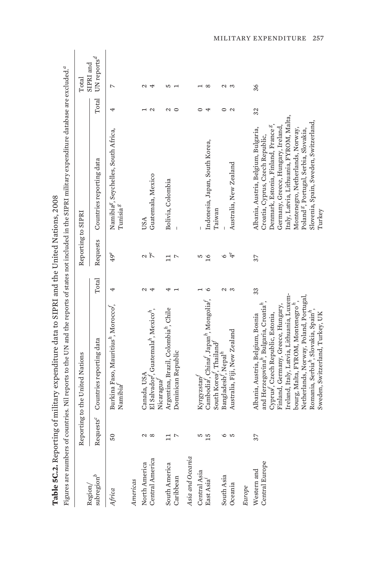|                                  |                       | Figures are numbers of countries. Nil reports to the UN and the reports of states not included in the SIPRI military expenditure database are excluded."                                                                                                                                                                                                                                                      |        |                     |                                                                                                                                                                                                                                                                                                                                                           |                   |                          |
|----------------------------------|-----------------------|---------------------------------------------------------------------------------------------------------------------------------------------------------------------------------------------------------------------------------------------------------------------------------------------------------------------------------------------------------------------------------------------------------------|--------|---------------------|-----------------------------------------------------------------------------------------------------------------------------------------------------------------------------------------------------------------------------------------------------------------------------------------------------------------------------------------------------------|-------------------|--------------------------|
|                                  | Report                | ting to the United Nations                                                                                                                                                                                                                                                                                                                                                                                    |        | Reporting to SIPRI  |                                                                                                                                                                                                                                                                                                                                                           |                   | SIPRI and<br>Total       |
| subregion $^b$<br>Region,        | Requests <sup>c</sup> | Countries reporting data                                                                                                                                                                                                                                                                                                                                                                                      | Total  | Requests            | Countries reporting data                                                                                                                                                                                                                                                                                                                                  | Total             | UN reports <sup>d</sup>  |
| Africa                           | 50                    | Burkina Faso, Mauritius <sup>n</sup> , Morocco <sup>f</sup> ,<br>Namibia                                                                                                                                                                                                                                                                                                                                      | 4      | $49^e$              | Namibia <sup>g</sup> , Seychelles, South Africa,<br>$T$ unisia $^g$                                                                                                                                                                                                                                                                                       | 4                 | $\overline{\phantom{0}}$ |
| Americas                         |                       |                                                                                                                                                                                                                                                                                                                                                                                                               |        |                     |                                                                                                                                                                                                                                                                                                                                                           |                   |                          |
| Central America<br>North America | Z<br>$\infty$         | El Salvador <sup>f</sup> , Guatemala <sup>n</sup> , Mexico <sup>n</sup> ,<br>Canada, USA                                                                                                                                                                                                                                                                                                                      | Μ<br>4 | $7^e$<br>N          | Guatemala, Mexico<br>USA                                                                                                                                                                                                                                                                                                                                  | $\mathbf{\Omega}$ | Z<br>4                   |
| South America<br>Caribbean       | L                     | Argentina, Brazil, Colombia <sup>h</sup> , Chile<br>Dominican Republic<br>Nicaragua <sup>J</sup>                                                                                                                                                                                                                                                                                                              |        | $\overline{ }$<br>⊐ | Bolivia, Colombia                                                                                                                                                                                                                                                                                                                                         | $\sim$<br>$\circ$ | w                        |
| Asia and Oceania                 |                       |                                                                                                                                                                                                                                                                                                                                                                                                               |        |                     |                                                                                                                                                                                                                                                                                                                                                           |                   |                          |
| Central Asia                     | S                     | Kyrgyzstan                                                                                                                                                                                                                                                                                                                                                                                                    |        | S                   |                                                                                                                                                                                                                                                                                                                                                           |                   |                          |
| East Asia <sup>1</sup>           | $\bar{5}$             | Cambodia, China, Japan <sup>h</sup> , Mongolia<br>South Korea <sup>f</sup> , Thailand                                                                                                                                                                                                                                                                                                                         | Ó      | $\overline{16}$     | Indonesia, Japan, South Korea,<br>Taiwan                                                                                                                                                                                                                                                                                                                  | ↤                 | $\infty$                 |
| South Asia                       |                       | Bangladesh <sup>t</sup> , Nepal <sup>h</sup>                                                                                                                                                                                                                                                                                                                                                                  | Z      | ৩                   |                                                                                                                                                                                                                                                                                                                                                           |                   |                          |
| Oceania                          | a u                   | Australia, Fiji, New Zealand                                                                                                                                                                                                                                                                                                                                                                                  | S      | $\ddot{4}$          | Australia, New Zealand                                                                                                                                                                                                                                                                                                                                    | $\mathbf{\Omega}$ | S<br>2                   |
| Europe                           |                       |                                                                                                                                                                                                                                                                                                                                                                                                               |        |                     |                                                                                                                                                                                                                                                                                                                                                           |                   |                          |
| Central Europe<br>Western and    | 37                    | Ireland, Italy, Latvia, Lithuania, Luxem-<br>Netherlands, Norway, Poland, Portugal,<br>bourg, Malta, FYROM, Montenegro <sup>n</sup> ,<br>and Herzegovina", Bulgaria, Croatia",<br>Finland, Germany, Greece, Hungary,<br>Romania, Serbia <sup>h</sup> , Slovakia, Spain <sup>h</sup><br>Sweden, Switzerland, Turkey, UK<br>Cyprus <sup>f</sup> , Czech Republic, Estonia,<br>Albania, Austria, Belgium, Bosnia | 33     | 37                  | Italy, Latvia, Lithuania, FYROM, Malta,<br>Slovenia, Spain, Sweden, Switzerland,<br>Denmark, Estonia, Finland, France <sup>8</sup> ,<br>Germany, Greece, Hungary, Ireland,<br>Albania, Austria, Belgium, Bulgaria,<br>Montenegro, Netherlands, Norway,<br>Poland <sup>g</sup> , Portugal, Serbia, Slovakia,<br>Croatia, Cyprus, Czech Republic,<br>Turkey | 32                | 36                       |

Table 5C.2. Reporting of military expenditure data to SIPRI and the United Nations, 2008 **Table 5C.2.** Reporting of military expenditure data to SIPRI and the United Nations, 2008